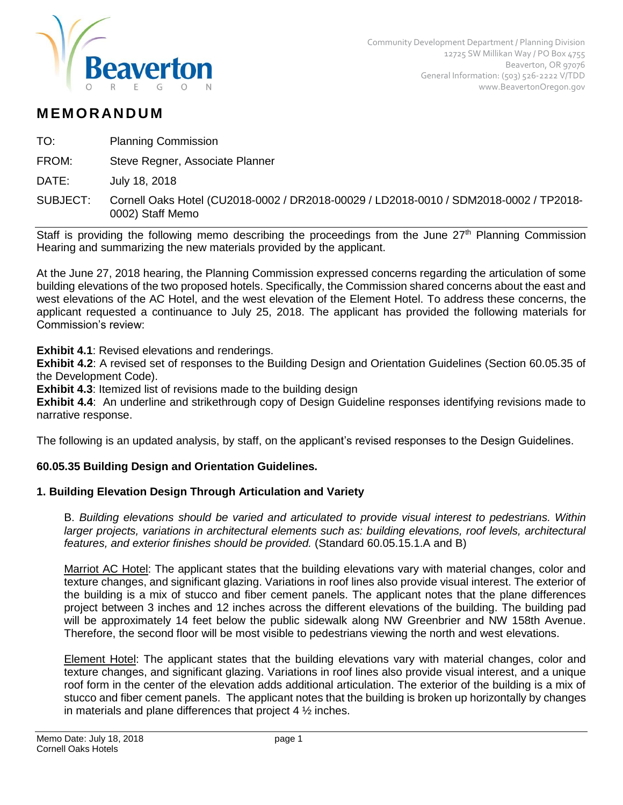

# **M EM O R AN D U M**

TO: Planning Commission

FROM: Steve Regner, Associate Planner

DATE: July 18, 2018

Staff is providing the following memo describing the proceedings from the June  $27<sup>th</sup>$  Planning Commission Hearing and summarizing the new materials provided by the applicant.

At the June 27, 2018 hearing, the Planning Commission expressed concerns regarding the articulation of some building elevations of the two proposed hotels. Specifically, the Commission shared concerns about the east and west elevations of the AC Hotel, and the west elevation of the Element Hotel. To address these concerns, the applicant requested a continuance to July 25, 2018. The applicant has provided the following materials for Commission's review:

### **Exhibit 4.1**: Revised elevations and renderings.

**Exhibit 4.2**: A revised set of responses to the Building Design and Orientation Guidelines (Section 60.05.35 of the Development Code).

**Exhibit 4.3:** Itemized list of revisions made to the building design

**Exhibit 4.4:** An underline and strikethrough copy of Design Guideline responses identifying revisions made to narrative response.

The following is an updated analysis, by staff, on the applicant's revised responses to the Design Guidelines.

# **60.05.35 Building Design and Orientation Guidelines.**

# **1. Building Elevation Design Through Articulation and Variety**

B. *Building elevations should be varied and articulated to provide visual interest to pedestrians. Within larger projects, variations in architectural elements such as: building elevations, roof levels, architectural features, and exterior finishes should be provided.* (Standard 60.05.15.1.A and B)

Marriot AC Hotel: The applicant states that the building elevations vary with material changes, color and texture changes, and significant glazing. Variations in roof lines also provide visual interest. The exterior of the building is a mix of stucco and fiber cement panels. The applicant notes that the plane differences project between 3 inches and 12 inches across the different elevations of the building. The building pad will be approximately 14 feet below the public sidewalk along NW Greenbrier and NW 158th Avenue. Therefore, the second floor will be most visible to pedestrians viewing the north and west elevations.

Element Hotel: The applicant states that the building elevations vary with material changes, color and texture changes, and significant glazing. Variations in roof lines also provide visual interest, and a unique roof form in the center of the elevation adds additional articulation. The exterior of the building is a mix of stucco and fiber cement panels. The applicant notes that the building is broken up horizontally by changes in materials and plane differences that project  $4\frac{1}{2}$  inches.

SUBJECT: Cornell Oaks Hotel (CU2018-0002 / DR2018-00029 / LD2018-0010 / SDM2018-0002 / TP2018- 0002) Staff Memo